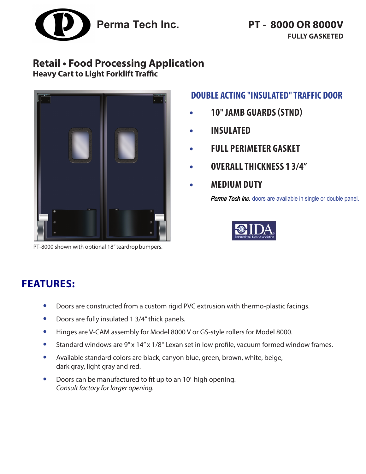

# **Retail • Food Processing Application**

**Heavy Cart to Light Forklift Traffic**



PT-8000 shown with optional 18" teardrop bumpers.

## **DOUBLE ACTING "INSULATED" TRAFFIC DOOR**

- **• 10" JAMB GUARDS (STND)**
- **• INSULATED**
- **• FULL PERIMETER GASKET**
- **• OVERALLTHICKNESS 1 3/4"**
- **• MEDIUM DUTY**

**Perma Tech Inc.** doors are available in single or double panel.



# **FEATURES:**

- **•** Doors are constructed from a custom rigid PVC extrusion with thermo-plastic facings.
- **•** Doors are fully insulated 1 3/4" thick panels.
- **•** Hinges are V-CAM assembly for Model 8000 V or GS-style rollers for Model 8000.
- **•** Standard windows are 9" x 14" x 1/8" Lexan set in low profile, vacuum formed window frames.
- **•** Available standard colors are black, canyon blue, green, brown, white, beige, dark gray, light gray and red.
- **•** Doors can be manufactured to fit up to an 10' high opening. *Consult factory for larger opening.*